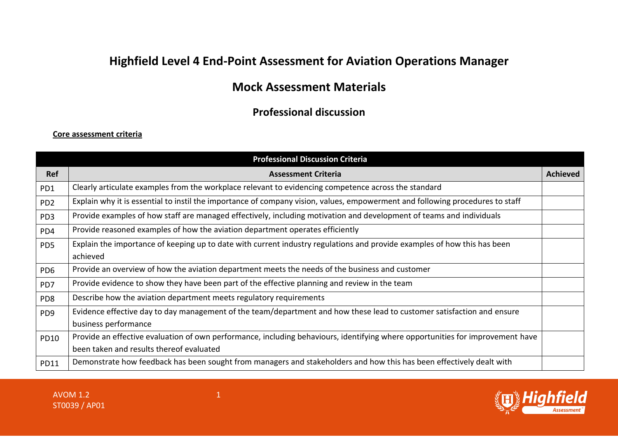# **Highfield Level 4 End-Point Assessment for Aviation Operations Manager**

# **Mock Assessment Materials**

## **Professional discussion**

#### **Core assessment criteria**

|                 | <b>Professional Discussion Criteria</b>                                                                                                                                    |                 |
|-----------------|----------------------------------------------------------------------------------------------------------------------------------------------------------------------------|-----------------|
| <b>Ref</b>      | <b>Assessment Criteria</b>                                                                                                                                                 | <b>Achieved</b> |
| PD1             | Clearly articulate examples from the workplace relevant to evidencing competence across the standard                                                                       |                 |
| PD <sub>2</sub> | Explain why it is essential to instil the importance of company vision, values, empowerment and following procedures to staff                                              |                 |
| PD <sub>3</sub> | Provide examples of how staff are managed effectively, including motivation and development of teams and individuals                                                       |                 |
| PD4             | Provide reasoned examples of how the aviation department operates efficiently                                                                                              |                 |
| PD <sub>5</sub> | Explain the importance of keeping up to date with current industry regulations and provide examples of how this has been<br>achieved                                       |                 |
| PD <sub>6</sub> | Provide an overview of how the aviation department meets the needs of the business and customer                                                                            |                 |
| PD7             | Provide evidence to show they have been part of the effective planning and review in the team                                                                              |                 |
| PD <sub>8</sub> | Describe how the aviation department meets regulatory requirements                                                                                                         |                 |
| PD <sub>9</sub> | Evidence effective day to day management of the team/department and how these lead to customer satisfaction and ensure<br>business performance                             |                 |
| <b>PD10</b>     | Provide an effective evaluation of own performance, including behaviours, identifying where opportunities for improvement have<br>been taken and results thereof evaluated |                 |
| <b>PD11</b>     | Demonstrate how feedback has been sought from managers and stakeholders and how this has been effectively dealt with                                                       |                 |

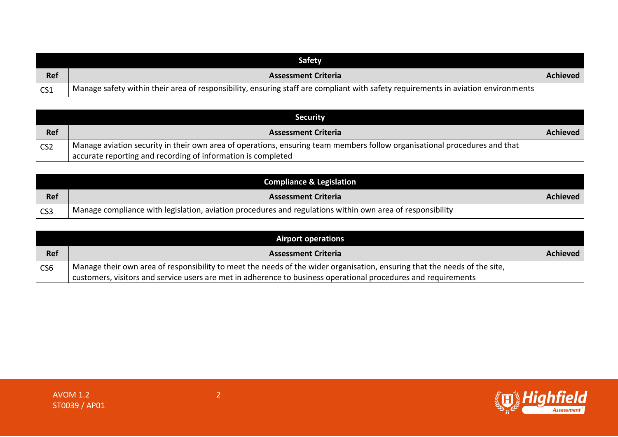|            | <b>Safety</b>                                                                                                                     |          |
|------------|-----------------------------------------------------------------------------------------------------------------------------------|----------|
| <b>Ref</b> | <b>Assessment Criteria</b>                                                                                                        | Achieved |
| CS1        | Manage safety within their area of responsibility, ensuring staff are compliant with safety requirements in aviation environments |          |

|                 | <b>Security</b>                                                                                                           |                 |
|-----------------|---------------------------------------------------------------------------------------------------------------------------|-----------------|
| <b>Ref</b>      | <b>Assessment Criteria</b>                                                                                                | <b>Achieved</b> |
| CS <sub>2</sub> | Manage aviation security in their own area of operations, ensuring team members follow organisational procedures and that |                 |
|                 | accurate reporting and recording of information is completed                                                              |                 |

|                 | <b>Compliance &amp; Legislation</b>                                                                       |                 |
|-----------------|-----------------------------------------------------------------------------------------------------------|-----------------|
| <b>Ref</b>      | <b>Assessment Criteria</b>                                                                                | <b>Achieved</b> |
| CS <sub>3</sub> | Manage compliance with legislation, aviation procedures and regulations within own area of responsibility |                 |

|                 | <b>Airport operations</b>                                                                                                 |          |
|-----------------|---------------------------------------------------------------------------------------------------------------------------|----------|
| <b>Ref</b>      | <b>Assessment Criteria</b>                                                                                                | Achieved |
| CS <sub>6</sub> | Manage their own area of responsibility to meet the needs of the wider organisation, ensuring that the needs of the site, |          |
|                 | customers, visitors and service users are met in adherence to business operational procedures and requirements            |          |

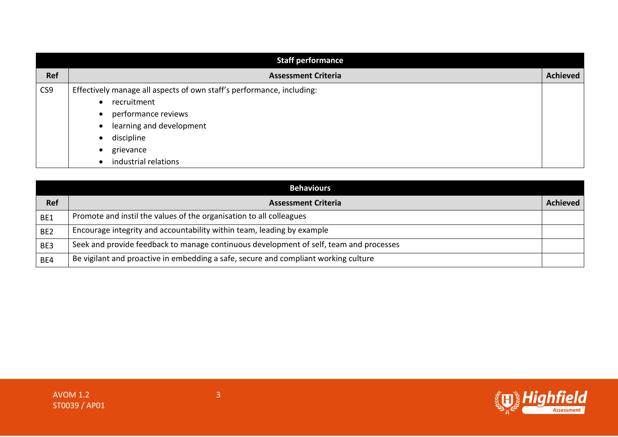|     | <b>Staff performance</b>                                              |                 |
|-----|-----------------------------------------------------------------------|-----------------|
| Ref | <b>Assessment Criteria</b>                                            | <b>Achieved</b> |
| CS9 | Effectively manage all aspects of own staff's performance, including: |                 |
|     | recruitment                                                           |                 |
|     | performance reviews                                                   |                 |
|     | learning and development                                              |                 |
|     | discipline                                                            |                 |
|     | grievance                                                             |                 |
|     | industrial relations                                                  |                 |

|                 | <b>Behaviours</b>                                                                      |                 |
|-----------------|----------------------------------------------------------------------------------------|-----------------|
| <b>Ref</b>      | <b>Assessment Criteria</b>                                                             | <b>Achieved</b> |
| BE1             | Promote and instil the values of the organisation to all colleagues                    |                 |
| BE <sub>2</sub> | Encourage integrity and accountability within team, leading by example                 |                 |
| BE3             | Seek and provide feedback to manage continuous development of self, team and processes |                 |
| BE4             | Be vigilant and proactive in embedding a safe, secure and compliant working culture    |                 |

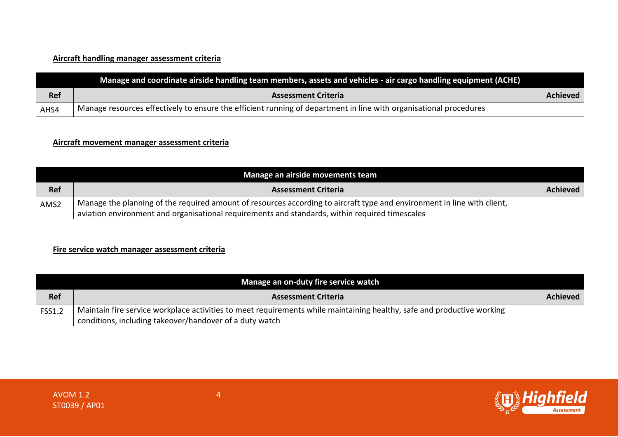### **Aircraft handling manager assessment criteria**

|            | Manage and coordinate airside handling team members, assets and vehicles - air cargo handling equipment (ACHE)    |          |
|------------|-------------------------------------------------------------------------------------------------------------------|----------|
| <b>Ref</b> | <b>Assessment Criteria</b>                                                                                        | Achieved |
| AHS4       | Manage resources effectively to ensure the efficient running of department in line with organisational procedures |          |

#### **Aircraft movement manager assessment criteria**

|            | Manage an airside movements team                                                                                        |          |
|------------|-------------------------------------------------------------------------------------------------------------------------|----------|
| <b>Ref</b> | <b>Assessment Criteria</b>                                                                                              | Achieved |
| AMS2       | Manage the planning of the required amount of resources according to aircraft type and environment in line with client, |          |
|            | aviation environment and organisational requirements and standards, within required timescales                          |          |

### **Fire service watch manager assessment criteria**

|               | Manage an on-duty fire service watch                                                                                   |          |
|---------------|------------------------------------------------------------------------------------------------------------------------|----------|
| <b>Ref</b>    | <b>Assessment Criteria</b>                                                                                             | Achieved |
| <b>FSS1.2</b> | Maintain fire service workplace activities to meet requirements while maintaining healthy, safe and productive working |          |
|               | conditions, including takeover/handover of a duty watch                                                                |          |

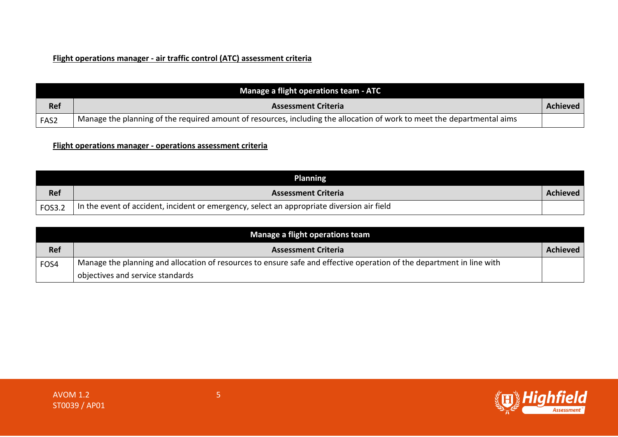### **Flight operations manager - air traffic control (ATC) assessment criteria**

|            | Manage a flight operations team - ATC                                                                                   |          |
|------------|-------------------------------------------------------------------------------------------------------------------------|----------|
| <b>Ref</b> | <b>Assessment Criteria</b>                                                                                              | Achieved |
| FAS2       | Manage the planning of the required amount of resources, including the allocation of work to meet the departmental aims |          |

**Flight operations manager - operations assessment criteria**

|        | <b>Planning</b>                                                                            |          |
|--------|--------------------------------------------------------------------------------------------|----------|
| Ref    | <b>Assessment Criteria</b>                                                                 | Achieved |
| FOS3.2 | In the event of accident, incident or emergency, select an appropriate diversion air field |          |

| Manage a flight operations team |                                                                                                                       |                 |  |
|---------------------------------|-----------------------------------------------------------------------------------------------------------------------|-----------------|--|
| Ref                             | <b>Assessment Criteria</b>                                                                                            | <b>Achieved</b> |  |
| FOS4                            | Manage the planning and allocation of resources to ensure safe and effective operation of the department in line with |                 |  |
|                                 | objectives and service standards                                                                                      |                 |  |